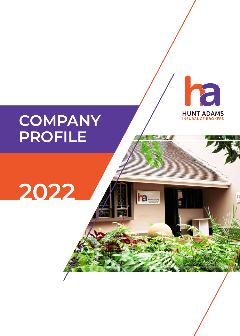# **COMPANY PROFILE**

**2022**



ha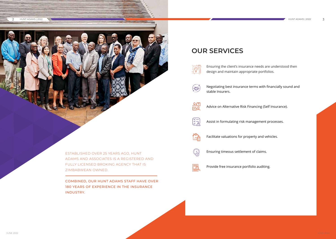### **OUR SERVICES**



Ensuring the client's insurance needs are understood then design and maintain appropriate portfolios.



Negotiating best insurance terms with financially sound and



stable Insurers.



Advice on Alternative Risk Financing (Self Insurance).

 $\left(\frac{\sqrt{2}}{2}\right)$ 

Assist in formulating risk management processes.

∏∩⊫

Facilitate valuations for property and vehicles.



Ensuring timeous settlement of claims.



Provide free insurance portfolio auditing.

ESTABLISHED OVER 25 YEARS AGO, HUNT ADAMS AND ASSOCIATES IS A REGISTERED AND FULLY LICENSED BROKING AGENCY THAT IS ZIMBABWEAN OWNED.

COMBINED, OUR HUNT ADAMS STAFF HAVE OVER 180 YEARS OF EXPERIENCE IN THE INSURANCE INDUSTRY.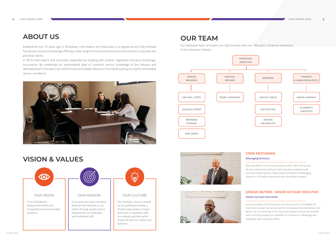## **ABOUT US**

Established over 25 years ago in Zimbabwe, Hunt Adams and Associates is a registered and fully licensed full-service insurance brokerage offering a wide range of insurance products and services for corporate and personal clients.

In 2019 Hunt Adams and associates expanded by merging with another registered Insurance Brokerage, Insuraserve. By combining our personalized style of customer service, knowledge of the industry and dedicated team of brokers, we have formed a formidable alliance in the industry giving our clients remarkable service excellence.





### **OUR TEAM**

Our dedicated team of brokers are fully licensed with over 180 years' combined experience in the insurance industry.

#### **STEEN KRISTIANSEN**

#### **(Managing Director)**

**------------------------------------------------------------------------------------**

Steen has been in the insurance industry since 1983. He has over 36 years experience working in both insurance companies and insurance brokering firms. Steen joined Hunt Adams as Managing Director in 2018 when Insuraserve and Hunt Adams merged.

#### **JUNIOUS MUTERO - SENIOR ACCOUNT EXECUTIVE (Senior Account Executive) ------------------------------------------------------------------------------------** Junious has been in the short term insurance industry in Zimbabwe for

more than 20 years. He has worked for international firms like Minerva and Marsh. He is an Associate of the Insurance Institute of South Africa (AIISA) and is currently studying for a Bachelor of Commerce in Marketing with Zimbabwe Open University (ZOU).





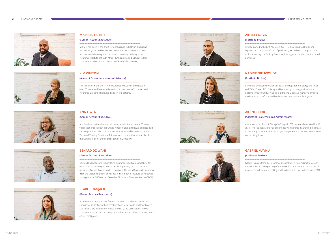

#### **AINSLEY DAVIS**

#### **(Portfolio Broker)**

**------------------------------------------------------------------------------------**

Ainsley started with Hunt Adams in 2007. He holds an LCCI Marketing Diploma, and an IIZ Certificate of proficiency. He will soon complete his IIZ diploma. Ainsley is a Broking Executive, looking after small to medium sized portfolios.

#### **NADINE NIEUWOUDT**

#### **(Portfolio Broker)**

**------------------------------------------------------------------------------------** Previously employed by Alliance Health looking after marketing, she holds an IIZ Certificate of Proficiency and is currently pursuing an insurance diploma through UNISA. Nadine is a Broking Executive managing small to medium sized portfolios and has been with Hunt Adams for 8 years.

#### **AILENE COOK**

#### **(Assistant Broker/Claims Administrator)**

# **------------------------------------------------------------------------------------**

Ailene joined us from St George's College in 2021 where she worked for 19 years. Prior to that Ailene has experience with Minette Insurance brokers as a claims adjudicator. Ailene has 11 years experience in insurance companies and broking firms.



#### **ANN OWEN**

#### **(Senior Account Executive)**

**------------------------------------------------------------------------------------**

Ann has been in the short-term insurance industry for nearly 50 years, with experience in both the United Kingdom and Zimbabwe. She has held various positions in both Insurance Companies and Brokers, including Technical Training Director at Minerva. Ann is the author of a textbook for the Certificate of Insurance qualification in Zimbabwe.

#### **GABRIEL MAVHU (Assistant Broker)**

**------------------------------------------------------------------------------------**

Gabriel joins us from BGI Insurance Brokers when Hunt Adams took over the portfolio after the passing of Harold Golombick. Gabriel has 7 years of experience in Insurance broking and has been with Hunt Adams since 2020.

#### **BENARD DZIWANI**

#### **(Senior Account Executive)**

**------------------------------------------------------------------------------------**

Bernard has been in the short term insurance industry in Zimbabwe for over 16 years, working for leading Brokering Firms, such as March and Alexander Forbes, holding various positions. He has a Diploma in insurance from the United Kingdom, an Associated Member of Institute of Personnel Management (IPMZ) and an Executive Diploma in Business Studies (EDBL).

#### **PEARL CHANJACK**

#### **(Broker Medical Insurance)**

**------------------------------------------------------------------------------------**

Pearl comes to Hunt Adams from Portfolio Health. She has 7 years of experience in dealing with international and local health and travel cover. She holds a BA, B.Ed (Senior Phase and FET), and Certificate in SMME Management from the University of South Africa. Pearl has been with Hunt Adams for 8 years.





**HUNT ADAMS** 

 $\sim$ 

#### **MICHAEL T UTETE**

#### **(Senior Account Executive)**

**------------------------------------------------------------------------------------**

Michael has been in the short term Insurance Industry in Zimbabwe for over 15 years and has experience in both Insurance Companies and insurance broking firms. Michael is currently studying for an Insurance Institute of South Africa (IISA) diploma and a BCom in Risk Management though the University of South Africa (UNISA).

#### **KIM WHITING**

#### **(Account Executive and Administrator)**

**------------------------------------------------------------------------------------**







Kim has been in the short term insurance industry in Zimbabwe for over 25 years, and has experience in both Insurance Companies and Insurance Brokering firms, holding senior positions.